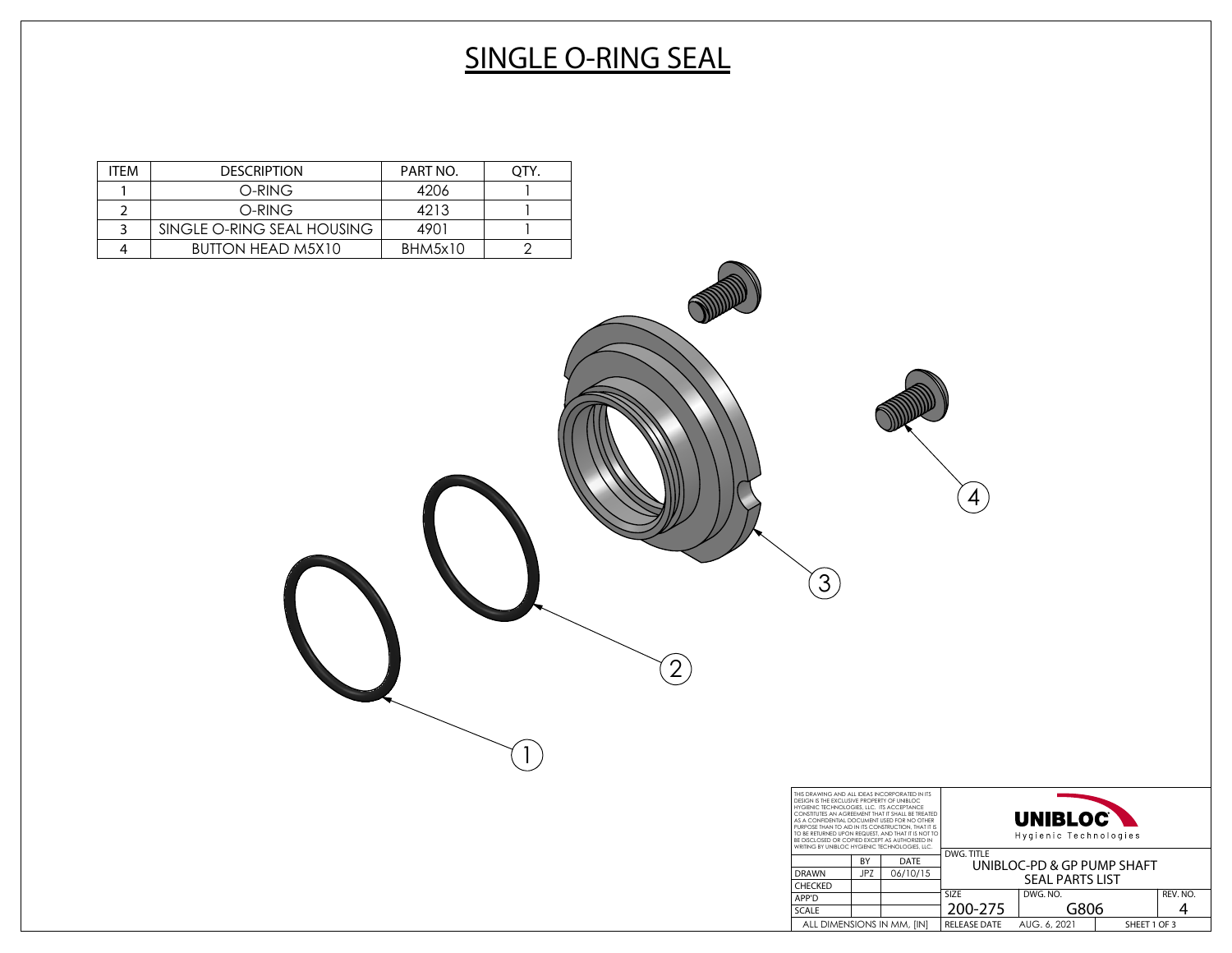# **SINGLE O-RING SEAL**

2

1

3

| ITFM | <b>DESCRIPTION</b>         | PART NO. |  |
|------|----------------------------|----------|--|
|      | O-RING                     | 4206     |  |
|      | O-RING                     | 4213     |  |
|      | SINGLE O-RING SEAL HOUSING | 4901     |  |
|      | <b>BUTTON HEAD M5X10</b>   | BHM5x10  |  |

| THIS DRAWING AND ALL IDEAS INCORPORATED IN ITS<br>DESIGN IS THE EXCLUSIVE PROPERTY OF UNIBLOC<br>HYGIENIC TECHNOLOGIES, LLC. ITS ACCEPTANCE<br>CONSTITUTES AN AGREEMENT THAT IT SHALL BE TREATED<br>AS A CONFIDENTIAL DOCUMENT USED FOR NO OTHER<br>PURPOSE THAN TO AID IN ITS CONSTRUCTION. THAT IT IS<br>TO BE RETURNED UPON REQUEST. AND THAT IT IS NOT TO<br>BE DISCLOSED OR COPIED EXCEPT AS AUTHORIZED IN<br>WRITING BY UNIBLOC HYGIENIC TECHNOLOGIES, LLC. |     | <b>UNIBLOC</b><br>Hygienic Technologies |              |                            |  |          |
|-------------------------------------------------------------------------------------------------------------------------------------------------------------------------------------------------------------------------------------------------------------------------------------------------------------------------------------------------------------------------------------------------------------------------------------------------------------------|-----|-----------------------------------------|--------------|----------------------------|--|----------|
|                                                                                                                                                                                                                                                                                                                                                                                                                                                                   | BY  | DATE                                    | DWG. TITLE   | UNIBLOC-PD & GP PUMP SHAFT |  |          |
| <b>DRAWN</b>                                                                                                                                                                                                                                                                                                                                                                                                                                                      | JP7 | 06/10/15                                |              | <b>SEAL PARTS LIST</b>     |  |          |
| <b>CHECKED</b>                                                                                                                                                                                                                                                                                                                                                                                                                                                    |     |                                         |              |                            |  |          |
| APP'D                                                                                                                                                                                                                                                                                                                                                                                                                                                             |     |                                         | <b>SIZE</b>  | DWG, NO.                   |  | REV. NO. |
| <b>SCALE</b>                                                                                                                                                                                                                                                                                                                                                                                                                                                      |     |                                         | 200-275      | G806                       |  |          |
| ALL DIMENSIONS IN MM, [IN]                                                                                                                                                                                                                                                                                                                                                                                                                                        |     | <b>RELEASE DATE</b>                     | AUG. 6, 2021 | SHEET 1 OF 3               |  |          |

4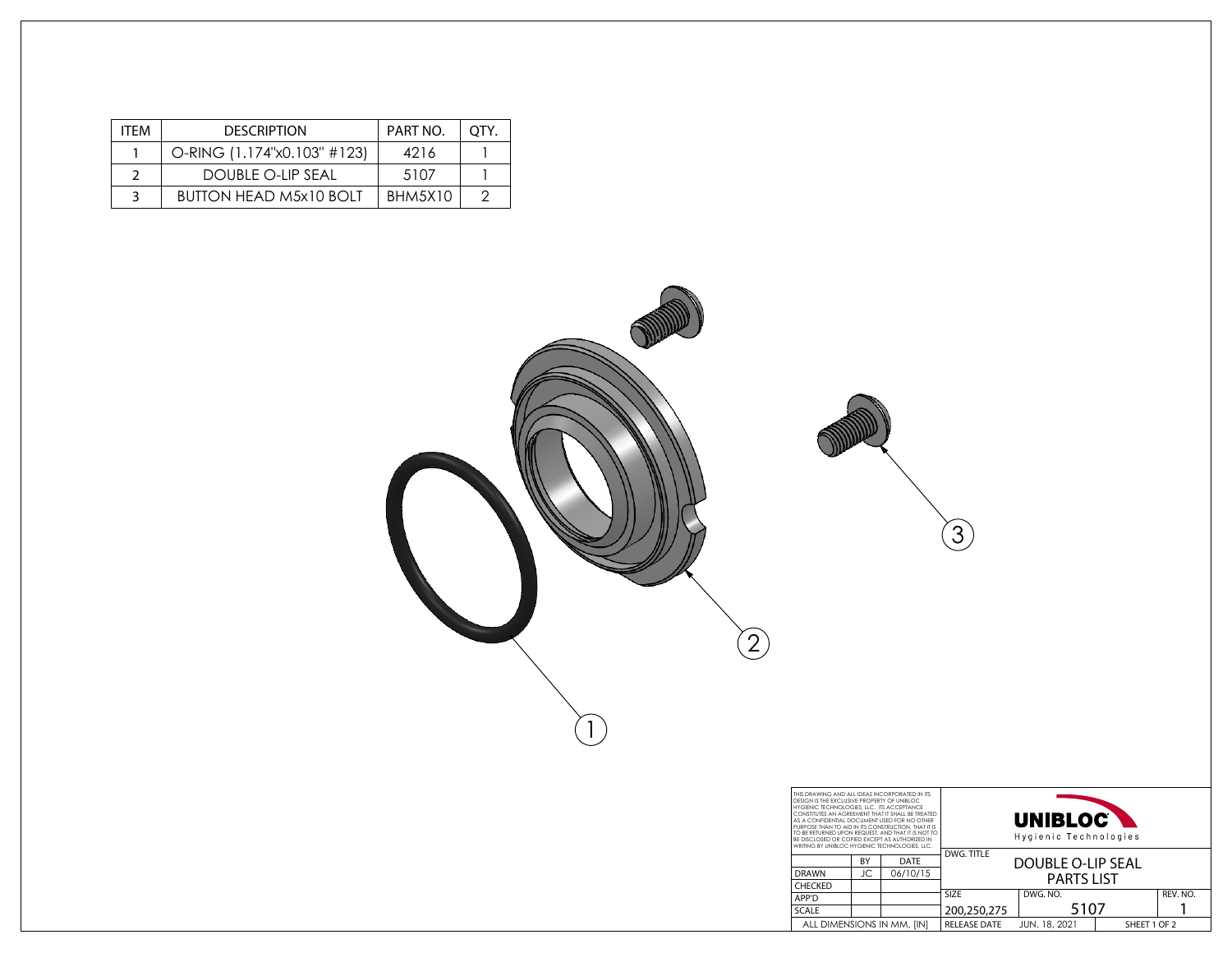| <b>ITFM</b> | <b>DESCRIPTION</b>            | PART NO. | OTY. |
|-------------|-------------------------------|----------|------|
|             | O-RING (1.174"x0.103" #123)   | 4216     |      |
|             | DOUBLE O-LIP SEAL             | 5107     |      |
|             | <b>BUTTON HEAD M5x10 BOLT</b> | BHM5X10  |      |